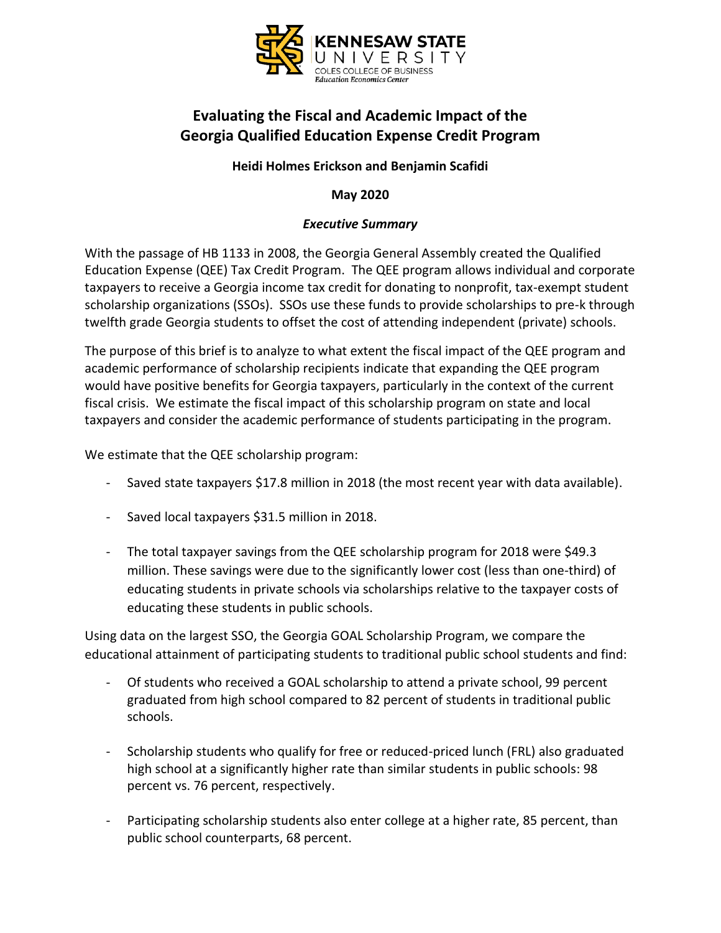

# **Evaluating the Fiscal and Academic Impact of the Georgia Qualified Education Expense Credit Program**

### **Heidi Holmes Erickson and Benjamin Scafidi**

**May 2020**

### *Executive Summary*

With the passage of HB 1133 in 2008, the Georgia General Assembly created the Qualified Education Expense (QEE) Tax Credit Program. The QEE program allows individual and corporate taxpayers to receive a Georgia income tax credit for donating to nonprofit, tax-exempt student scholarship organizations (SSOs). SSOs use these funds to provide scholarships to pre-k through twelfth grade Georgia students to offset the cost of attending independent (private) schools.

The purpose of this brief is to analyze to what extent the fiscal impact of the QEE program and academic performance of scholarship recipients indicate that expanding the QEE program would have positive benefits for Georgia taxpayers, particularly in the context of the current fiscal crisis. We estimate the fiscal impact of this scholarship program on state and local taxpayers and consider the academic performance of students participating in the program.

We estimate that the QEE scholarship program:

- Saved state taxpayers \$17.8 million in 2018 (the most recent year with data available).
- Saved local taxpayers \$31.5 million in 2018.
- The total taxpayer savings from the QEE scholarship program for 2018 were \$49.3 million. These savings were due to the significantly lower cost (less than one-third) of educating students in private schools via scholarships relative to the taxpayer costs of educating these students in public schools.

Using data on the largest SSO, the Georgia GOAL Scholarship Program, we compare the educational attainment of participating students to traditional public school students and find:

- Of students who received a GOAL scholarship to attend a private school, 99 percent graduated from high school compared to 82 percent of students in traditional public schools.
- Scholarship students who qualify for free or reduced-priced lunch (FRL) also graduated high school at a significantly higher rate than similar students in public schools: 98 percent vs. 76 percent, respectively.
- Participating scholarship students also enter college at a higher rate, 85 percent, than public school counterparts, 68 percent.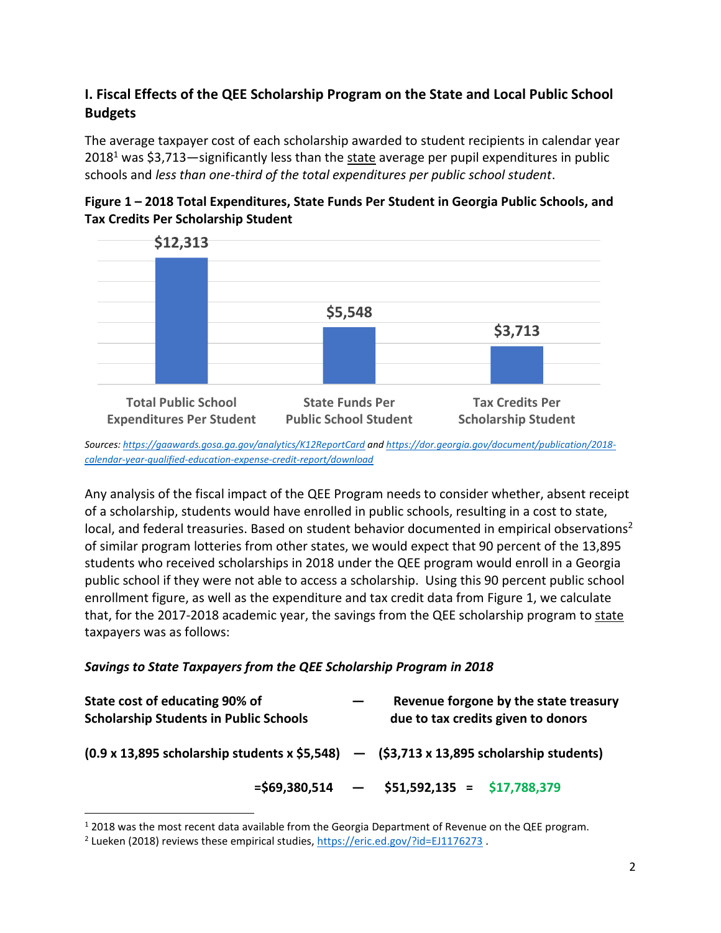# **I. Fiscal Effects of the QEE Scholarship Program on the State and Local Public School Budgets**

The average taxpayer cost of each scholarship awarded to student recipients in calendar year  $2018<sup>1</sup>$  was \$3,713—significantly less than the state average per pupil expenditures in public schools and *less than one-third of the total expenditures per public school student*.





*Sources[: https://gaawards.gosa.ga.gov/analytics/K12ReportCard](https://gaawards.gosa.ga.gov/analytics/K12ReportCard) an[d https://dor.georgia.gov/document/publication/2018](https://dor.georgia.gov/document/publication/2018-calendar-year-qualified-education-expense-credit-report/download) [calendar-year-qualified-education-expense-credit-report/download](https://dor.georgia.gov/document/publication/2018-calendar-year-qualified-education-expense-credit-report/download)*

Any analysis of the fiscal impact of the QEE Program needs to consider whether, absent receipt of a scholarship, students would have enrolled in public schools, resulting in a cost to state, local, and federal treasuries. Based on student behavior documented in empirical observations<sup>2</sup> of similar program lotteries from other states, we would expect that 90 percent of the 13,895 students who received scholarships in 2018 under the QEE program would enroll in a Georgia public school if they were not able to access a scholarship. Using this 90 percent public school enrollment figure, as well as the expenditure and tax credit data from Figure 1, we calculate that, for the 2017-2018 academic year, the savings from the QEE scholarship program to state taxpayers was as follows:

### *Savings to State Taxpayers from the QEE Scholarship Program in 2018*

| State cost of educating 90% of<br><b>Scholarship Students in Public Schools</b>                   | Revenue forgone by the state treasury<br>due to tax credits given to donors |
|---------------------------------------------------------------------------------------------------|-----------------------------------------------------------------------------|
| $(0.9 \times 13,895$ scholarship students x \$5,548) - $($ \$3,713 x 13,895 scholarship students) |                                                                             |
|                                                                                                   | $=$ \$69,380,514 $-$ \$51,592,135 = \$17,788,379                            |

 $12018$  was the most recent data available from the Georgia Department of Revenue on the QEE program.

<sup>&</sup>lt;sup>2</sup> Lueken (2018) reviews these empirical studies[, https://eric.ed.gov/?id=EJ1176273](https://eric.ed.gov/?id=EJ1176273).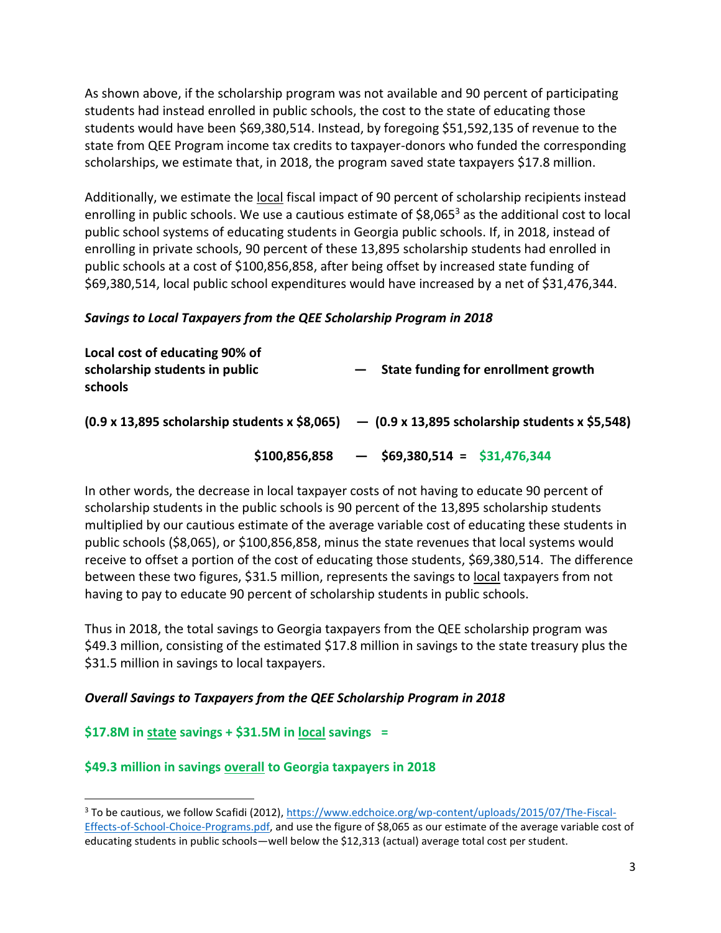As shown above, if the scholarship program was not available and 90 percent of participating students had instead enrolled in public schools, the cost to the state of educating those students would have been \$69,380,514. Instead, by foregoing \$51,592,135 of revenue to the state from QEE Program income tax credits to taxpayer-donors who funded the corresponding scholarships, we estimate that, in 2018, the program saved state taxpayers \$17.8 million.

Additionally, we estimate the local fiscal impact of 90 percent of scholarship recipients instead enrolling in public schools. We use a cautious estimate of  $$8,065^3$  as the additional cost to local public school systems of educating students in Georgia public schools. If, in 2018, instead of enrolling in private schools, 90 percent of these 13,895 scholarship students had enrolled in public schools at a cost of \$100,856,858, after being offset by increased state funding of \$69,380,514, local public school expenditures would have increased by a net of \$31,476,344.

#### *Savings to Local Taxpayers from the QEE Scholarship Program in 2018*

| Local cost of educating 90% of<br>scholarship students in public<br>schools | State funding for enrollment growth                                                                        |
|-----------------------------------------------------------------------------|------------------------------------------------------------------------------------------------------------|
|                                                                             | $(0.9 \times 13,895$ scholarship students x \$8,065) $ (0.9 \times 13,895$ scholarship students x \$5,548) |
| \$100,856,858                                                               | $-$ \$69,380,514 = \$31,476,344                                                                            |

In other words, the decrease in local taxpayer costs of not having to educate 90 percent of scholarship students in the public schools is 90 percent of the 13,895 scholarship students multiplied by our cautious estimate of the average variable cost of educating these students in public schools (\$8,065), or \$100,856,858, minus the state revenues that local systems would receive to offset a portion of the cost of educating those students, \$69,380,514. The difference between these two figures, \$31.5 million, represents the savings to local taxpayers from not having to pay to educate 90 percent of scholarship students in public schools.

Thus in 2018, the total savings to Georgia taxpayers from the QEE scholarship program was \$49.3 million, consisting of the estimated \$17.8 million in savings to the state treasury plus the \$31.5 million in savings to local taxpayers.

### *Overall Savings to Taxpayers from the QEE Scholarship Program in 2018*

### **\$17.8M in state savings + \$31.5M in local savings =**

### **\$49.3 million in savings overall to Georgia taxpayers in 2018**

<sup>3</sup> To be cautious, we follow Scafidi (2012)[, https://www.edchoice.org/wp-content/uploads/2015/07/The-Fiscal-](https://www.edchoice.org/wp-content/uploads/2015/07/The-Fiscal-Effects-of-School-Choice-Programs.pdf)[Effects-of-School-Choice-Programs.pdf,](https://www.edchoice.org/wp-content/uploads/2015/07/The-Fiscal-Effects-of-School-Choice-Programs.pdf) and use the figure of \$8,065 as our estimate of the average variable cost of educating students in public schools—well below the \$12,313 (actual) average total cost per student.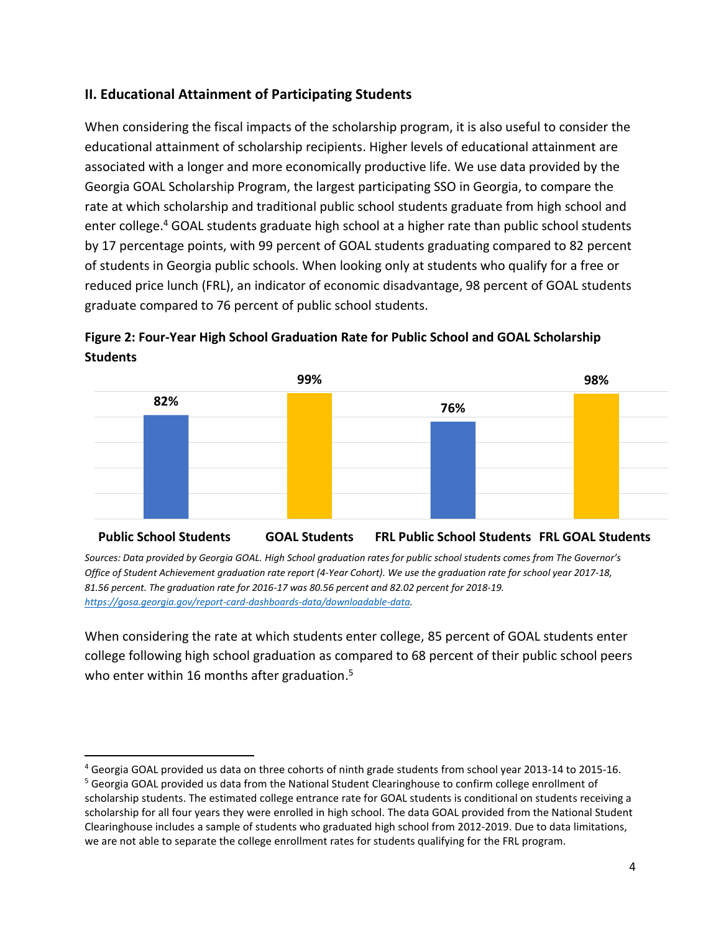## **II. Educational Attainment of Participating Students**

When considering the fiscal impacts of the scholarship program, it is also useful to consider the educational attainment of scholarship recipients. Higher levels of educational attainment are associated with a longer and more economically productive life. We use data provided by the Georgia GOAL Scholarship Program, the largest participating SSO in Georgia, to compare the rate at which scholarship and traditional public school students graduate from high school and enter college. <sup>4</sup> GOAL students graduate high school at a higher rate than public school students by 17 percentage points, with 99 percent of GOAL students graduating compared to 82 percent of students in Georgia public schools. When looking only at students who qualify for a free or reduced price lunch (FRL), an indicator of economic disadvantage, 98 percent of GOAL students graduate compared to 76 percent of public school students.





#### **Public School Students GOAL Students FRL Public School Students FRL GOAL Students**

Sources: Data provided by Georgia GOAL. High School graduation rates for public school students comes from The Governor's *Office of Student Achievement graduation rate report (4-Year Cohort). We use the graduation rate for school year 2017-18, 81.56 percent. The graduation rate for 2016-17 was 80.56 percent and 82.02 percent for 2018-19. [https://gosa.georgia.gov/report-card-dashboards-data/downloadable-data.](https://gosa.georgia.gov/report-card-dashboards-data/downloadable-data)*

When considering the rate at which students enter college, 85 percent of GOAL students enter college following high school graduation as compared to 68 percent of their public school peers who enter within 16 months after graduation. 5

<sup>4</sup> Georgia GOAL provided us data on three cohorts of ninth grade students from school year 2013-14 to 2015-16.

<sup>&</sup>lt;sup>5</sup> Georgia GOAL provided us data from the National Student Clearinghouse to confirm college enrollment of scholarship students. The estimated college entrance rate for GOAL students is conditional on students receiving a scholarship for all four years they were enrolled in high school. The data GOAL provided from the National Student Clearinghouse includes a sample of students who graduated high school from 2012-2019. Due to data limitations, we are not able to separate the college enrollment rates for students qualifying for the FRL program.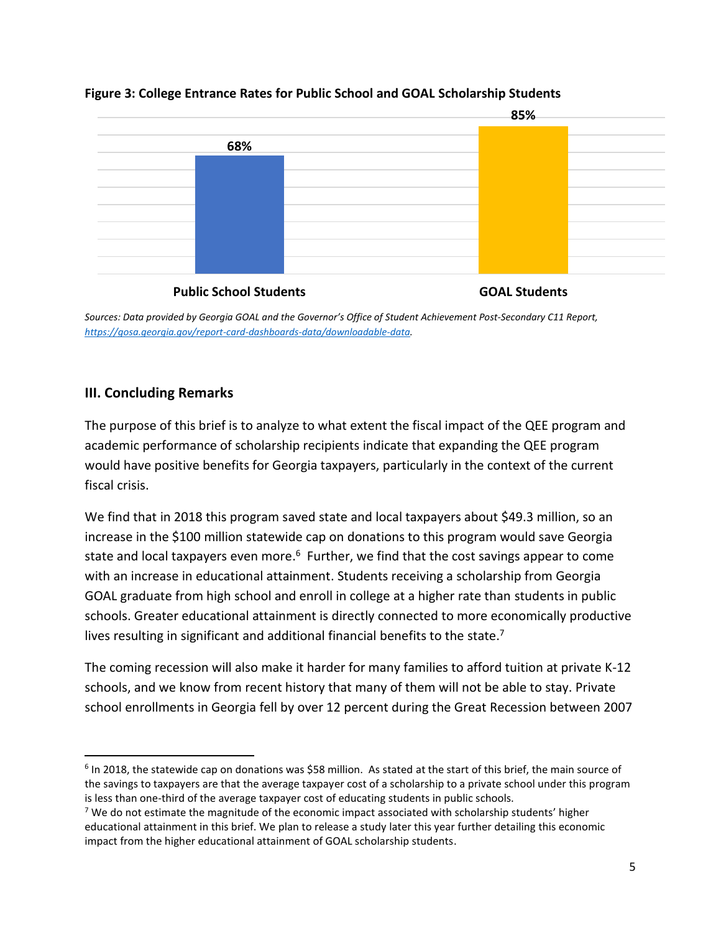

### **Figure 3: College Entrance Rates for Public School and GOAL Scholarship Students**

**Public School Students GOAL Students** 

*Sources: Data provided by Georgia GOAL and the Governor's Office of Student Achievement Post-Secondary C11 Report, [https://gosa.georgia.gov/report-card-dashboards-data/downloadable-data.](https://gosa.georgia.gov/report-card-dashboards-data/downloadable-data)*

# **III. Concluding Remarks**

The purpose of this brief is to analyze to what extent the fiscal impact of the QEE program and academic performance of scholarship recipients indicate that expanding the QEE program would have positive benefits for Georgia taxpayers, particularly in the context of the current fiscal crisis.

We find that in 2018 this program saved state and local taxpayers about \$49.3 million, so an increase in the \$100 million statewide cap on donations to this program would save Georgia state and local taxpayers even more.<sup>6</sup> Further, we find that the cost savings appear to come with an increase in educational attainment. Students receiving a scholarship from Georgia GOAL graduate from high school and enroll in college at a higher rate than students in public schools. Greater educational attainment is directly connected to more economically productive lives resulting in significant and additional financial benefits to the state.<sup>7</sup>

The coming recession will also make it harder for many families to afford tuition at private K-12 schools, and we know from recent history that many of them will not be able to stay. Private school enrollments in Georgia fell by over 12 percent during the Great Recession between 2007

<sup>6</sup> In 2018, the statewide cap on donations was \$58 million. As stated at the start of this brief, the main source of the savings to taxpayers are that the average taxpayer cost of a scholarship to a private school under this program is less than one-third of the average taxpayer cost of educating students in public schools.

 $7$  We do not estimate the magnitude of the economic impact associated with scholarship students' higher educational attainment in this brief. We plan to release a study later this year further detailing this economic impact from the higher educational attainment of GOAL scholarship students.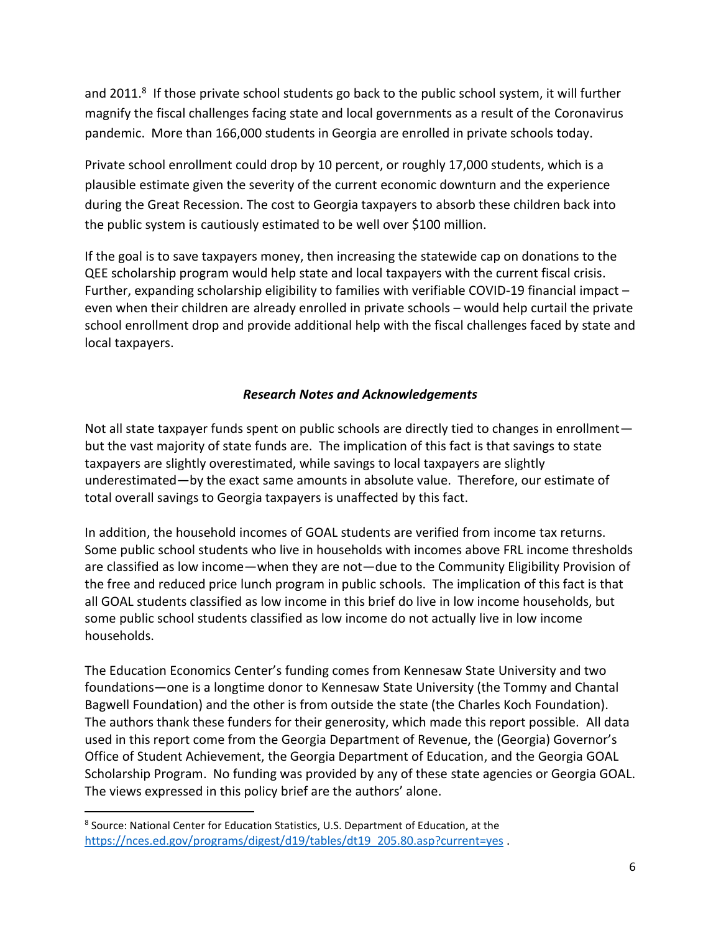and 2011.<sup>8</sup> If those private school students go back to the public school system, it will further magnify the fiscal challenges facing state and local governments as a result of the Coronavirus pandemic. More than 166,000 students in Georgia are enrolled in private schools today.

Private school enrollment could drop by 10 percent, or roughly 17,000 students, which is a plausible estimate given the severity of the current economic downturn and the experience during the Great Recession. The cost to Georgia taxpayers to absorb these children back into the public system is cautiously estimated to be well over \$100 million.

If the goal is to save taxpayers money, then increasing the statewide cap on donations to the QEE scholarship program would help state and local taxpayers with the current fiscal crisis. Further, expanding scholarship eligibility to families with verifiable COVID-19 financial impact – even when their children are already enrolled in private schools – would help curtail the private school enrollment drop and provide additional help with the fiscal challenges faced by state and local taxpayers.

### *Research Notes and Acknowledgements*

Not all state taxpayer funds spent on public schools are directly tied to changes in enrollment but the vast majority of state funds are. The implication of this fact is that savings to state taxpayers are slightly overestimated, while savings to local taxpayers are slightly underestimated—by the exact same amounts in absolute value. Therefore, our estimate of total overall savings to Georgia taxpayers is unaffected by this fact.

In addition, the household incomes of GOAL students are verified from income tax returns. Some public school students who live in households with incomes above FRL income thresholds are classified as low income—when they are not—due to the Community Eligibility Provision of the free and reduced price lunch program in public schools. The implication of this fact is that all GOAL students classified as low income in this brief do live in low income households, but some public school students classified as low income do not actually live in low income households.

The Education Economics Center's funding comes from Kennesaw State University and two foundations—one is a longtime donor to Kennesaw State University (the Tommy and Chantal Bagwell Foundation) and the other is from outside the state (the Charles Koch Foundation). The authors thank these funders for their generosity, which made this report possible. All data used in this report come from the Georgia Department of Revenue, the (Georgia) Governor's Office of Student Achievement, the Georgia Department of Education, and the Georgia GOAL Scholarship Program. No funding was provided by any of these state agencies or Georgia GOAL. The views expressed in this policy brief are the authors' alone.

<sup>&</sup>lt;sup>8</sup> Source: National Center for Education Statistics, U.S. Department of Education, at the [https://nces.ed.gov/programs/digest/d19/tables/dt19\\_205.80.asp?current=yes](https://nces.ed.gov/programs/digest/d19/tables/dt19_205.80.asp?current=yes) .